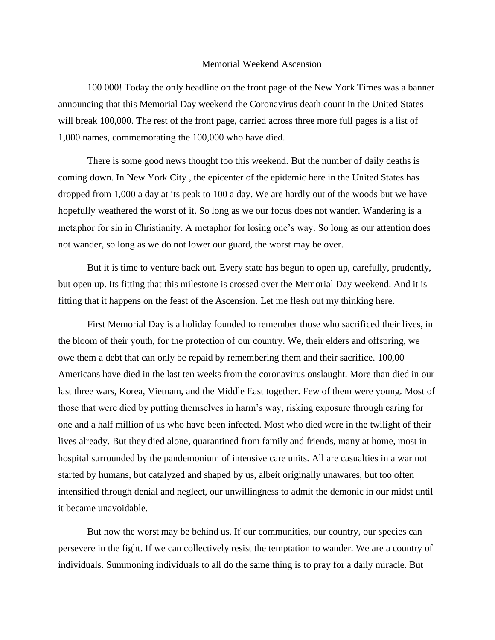## Memorial Weekend Ascension

100 000! Today the only headline on the front page of the New York Times was a banner announcing that this Memorial Day weekend the Coronavirus death count in the United States will break 100,000. The rest of the front page, carried across three more full pages is a list of 1,000 names, commemorating the 100,000 who have died.

There is some good news thought too this weekend. But the number of daily deaths is coming down. In New York City , the epicenter of the epidemic here in the United States has dropped from 1,000 a day at its peak to 100 a day. We are hardly out of the woods but we have hopefully weathered the worst of it. So long as we our focus does not wander. Wandering is a metaphor for sin in Christianity. A metaphor for losing one's way. So long as our attention does not wander, so long as we do not lower our guard, the worst may be over.

But it is time to venture back out. Every state has begun to open up, carefully, prudently, but open up. Its fitting that this milestone is crossed over the Memorial Day weekend. And it is fitting that it happens on the feast of the Ascension. Let me flesh out my thinking here.

First Memorial Day is a holiday founded to remember those who sacrificed their lives, in the bloom of their youth, for the protection of our country. We, their elders and offspring, we owe them a debt that can only be repaid by remembering them and their sacrifice. 100,00 Americans have died in the last ten weeks from the coronavirus onslaught. More than died in our last three wars, Korea, Vietnam, and the Middle East together. Few of them were young. Most of those that were died by putting themselves in harm's way, risking exposure through caring for one and a half million of us who have been infected. Most who died were in the twilight of their lives already. But they died alone, quarantined from family and friends, many at home, most in hospital surrounded by the pandemonium of intensive care units. All are casualties in a war not started by humans, but catalyzed and shaped by us, albeit originally unawares, but too often intensified through denial and neglect, our unwillingness to admit the demonic in our midst until it became unavoidable.

But now the worst may be behind us. If our communities, our country, our species can persevere in the fight. If we can collectively resist the temptation to wander. We are a country of individuals. Summoning individuals to all do the same thing is to pray for a daily miracle. But